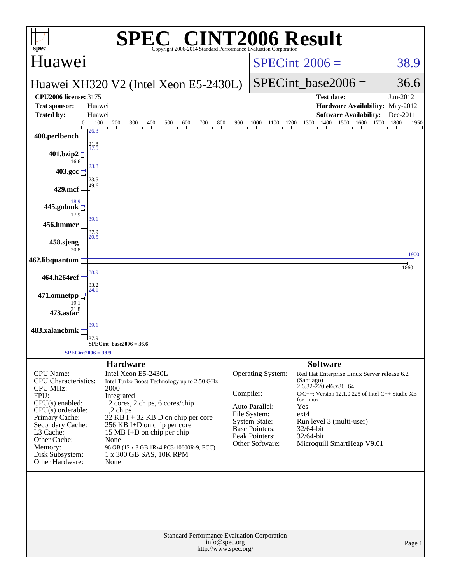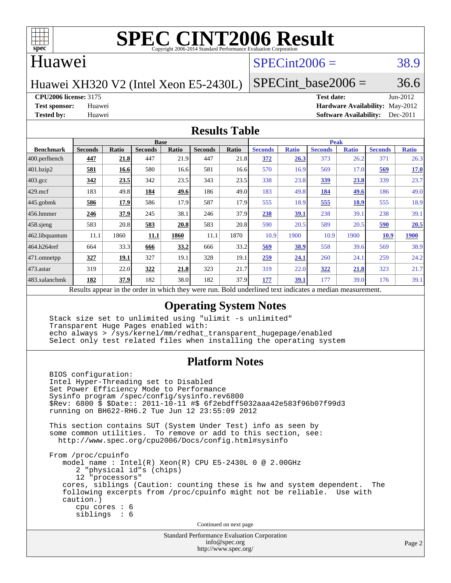

#### Huawei

### $SPECint2006 = 38.9$  $SPECint2006 = 38.9$

Huawei XH320 V2 (Intel Xeon E5-2430L)

SPECint base2006 =  $36.6$ 

**[CPU2006 license:](http://www.spec.org/auto/cpu2006/Docs/result-fields.html#CPU2006license)** 3175 **[Test date:](http://www.spec.org/auto/cpu2006/Docs/result-fields.html#Testdate)** Jun-2012

**[Test sponsor:](http://www.spec.org/auto/cpu2006/Docs/result-fields.html#Testsponsor)** Huawei **[Hardware Availability:](http://www.spec.org/auto/cpu2006/Docs/result-fields.html#HardwareAvailability)** May-2012 **[Tested by:](http://www.spec.org/auto/cpu2006/Docs/result-fields.html#Testedby)** Huawei **[Software Availability:](http://www.spec.org/auto/cpu2006/Docs/result-fields.html#SoftwareAvailability)** Dec-2011

#### **[Results Table](http://www.spec.org/auto/cpu2006/Docs/result-fields.html#ResultsTable)**

|                                                                                                          | <b>Base</b>    |             |                |              |                | <b>Peak</b> |                |              |                |              |                |              |
|----------------------------------------------------------------------------------------------------------|----------------|-------------|----------------|--------------|----------------|-------------|----------------|--------------|----------------|--------------|----------------|--------------|
| <b>Benchmark</b>                                                                                         | <b>Seconds</b> | Ratio       | <b>Seconds</b> | <b>Ratio</b> | <b>Seconds</b> | Ratio       | <b>Seconds</b> | <b>Ratio</b> | <b>Seconds</b> | <b>Ratio</b> | <b>Seconds</b> | <b>Ratio</b> |
| $ 400.\text{perlbench}$                                                                                  | 447            | 21.8        | 447            | 21.9         | 447            | 21.8        | 372            | 26.3         | 373            | 26.2         | 371            | 26.3         |
| 401.bzip2                                                                                                | 581            | 16.6        | 580            | 16.6         | 581            | 16.6        | 570            | 16.9         | 569            | 17.0         | 569            | 17.0         |
| $403.\mathrm{gcc}$                                                                                       | 342            | 23.5        | 342            | 23.5         | 343            | 23.5        | 338            | 23.8         | 339            | 23.8         | 339            | 23.7         |
| $429$ .mcf                                                                                               | 183            | 49.8        | 184            | 49.6         | 186            | 49.0        | 183            | 49.8         | 184            | 49.6         | 186            | 49.0         |
| $445$ .gobmk                                                                                             | 586            | 17.9        | 586            | 17.9         | 587            | 17.9        | 555            | 18.9         | 555            | 18.9         | 555            | 18.9         |
| $456.$ hmmer                                                                                             | 246            | 37.9        | 245            | 38.1         | 246            | 37.9        | 238            | <u>39.1</u>  | 238            | 39.1         | 238            | 39.1         |
| $458$ .sjeng                                                                                             | 583            | 20.8        | 583            | 20.8         | 583            | 20.8        | 590            | 20.5         | 589            | 20.5         | 590            | 20.5         |
| 462.libquantum                                                                                           | 11.1           | 1860        | 11.1           | 1860         | 11.1           | 1870        | 10.9           | 1900         | 10.9           | 1900         | <b>10.9</b>    | <b>1900</b>  |
| 464.h264ref                                                                                              | 664            | 33.3        | 666            | 33.2         | 666            | 33.2        | 569            | 38.9         | 558            | 39.6         | 569            | 38.9         |
| 471.omnetpp                                                                                              | 327            | <u>19.1</u> | 327            | 19.1         | 328            | 19.1        | 259            | 24.1         | 260            | 24.1         | 259            | 24.2         |
| $473$ . astar                                                                                            | 319            | 22.0        | 322            | 21.8         | 323            | 21.7        | 319            | 22.0         | 322            | 21.8         | 323            | 21.7         |
| 483.xalancbmk                                                                                            | 182            | 37.9        | 182            | 38.0         | 182            | 37.9        | 177            | <u>39.1</u>  | 177            | 39.0         | 176            | 39.1         |
| Results appear in the order in which they were run. Bold underlined text indicates a median measurement. |                |             |                |              |                |             |                |              |                |              |                |              |

#### **[Operating System Notes](http://www.spec.org/auto/cpu2006/Docs/result-fields.html#OperatingSystemNotes)**

 Stack size set to unlimited using "ulimit -s unlimited" Transparent Huge Pages enabled with: echo always > /sys/kernel/mm/redhat\_transparent\_hugepage/enabled Select only test related files when installing the operating system

#### **[Platform Notes](http://www.spec.org/auto/cpu2006/Docs/result-fields.html#PlatformNotes)**

 BIOS configuration: Intel Hyper-Threading set to Disabled Set Power Efficiency Mode to Performance Sysinfo program /spec/config/sysinfo.rev6800 \$Rev: 6800 \$ \$Date:: 2011-10-11 #\$ 6f2ebdff5032aaa42e583f96b07f99d3 running on BH622-RH6.2 Tue Jun 12 23:55:09 2012 This section contains SUT (System Under Test) info as seen by some common utilities. To remove or add to this section, see: <http://www.spec.org/cpu2006/Docs/config.html#sysinfo> From /proc/cpuinfo model name:  $Intel(R)$  Xeon $(R)$  CPU E5-2430L 0 @ 2.00GHz 2 "physical id"s (chips) 12 "processors" cores, siblings (Caution: counting these is hw and system dependent. The following excerpts from /proc/cpuinfo might not be reliable. Use with caution.) cpu cores : 6 siblings : 6 Continued on next page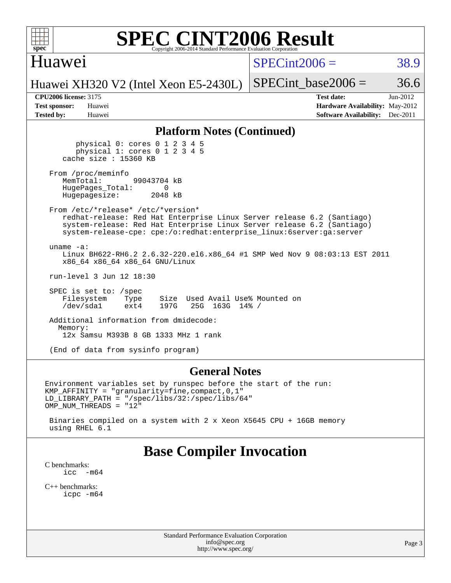## Huawei

 $SPECint2006 = 38.9$  $SPECint2006 = 38.9$ 

Huawei XH320 V2 (Intel Xeon E5-2430L)

**[Tested by:](http://www.spec.org/auto/cpu2006/Docs/result-fields.html#Testedby)** Huawei **[Software Availability:](http://www.spec.org/auto/cpu2006/Docs/result-fields.html#SoftwareAvailability)** Dec-2011

**[CPU2006 license:](http://www.spec.org/auto/cpu2006/Docs/result-fields.html#CPU2006license)** 3175 **[Test date:](http://www.spec.org/auto/cpu2006/Docs/result-fields.html#Testdate)** Jun-2012 **[Test sponsor:](http://www.spec.org/auto/cpu2006/Docs/result-fields.html#Testsponsor)** Huawei **[Hardware Availability:](http://www.spec.org/auto/cpu2006/Docs/result-fields.html#HardwareAvailability)** May-2012

SPECint base2006 =  $36.6$ 

#### **[Platform Notes \(Continued\)](http://www.spec.org/auto/cpu2006/Docs/result-fields.html#PlatformNotes)**

 physical 0: cores 0 1 2 3 4 5 physical 1: cores 0 1 2 3 4 5 cache size : 15360 KB

From /proc/meminfo<br>MemTotal: 99043704 kB HugePages\_Total: 0<br>Hugepagesize: 2048 kB Hugepagesize:

 From /etc/\*release\* /etc/\*version\* redhat-release: Red Hat Enterprise Linux Server release 6.2 (Santiago) system-release: Red Hat Enterprise Linux Server release 6.2 (Santiago) system-release-cpe: cpe:/o:redhat:enterprise\_linux:6server:ga:server

 uname -a: Linux BH622-RH6.2 2.6.32-220.el6.x86\_64 #1 SMP Wed Nov 9 08:03:13 EST 2011 x86\_64 x86\_64 x86\_64 GNU/Linux

run-level 3 Jun 12 18:30

 SPEC is set to: /spec Filesystem Type Size Used Avail Use% Mounted on<br>
/dev/sda1 ext4 197G 25G 163G 14% / /dev/sda1 ext4 197G 25G 163G 14% /

 Additional information from dmidecode: Memory: 12x Samsu M393B 8 GB 1333 MHz 1 rank

(End of data from sysinfo program)

#### **[General Notes](http://www.spec.org/auto/cpu2006/Docs/result-fields.html#GeneralNotes)**

Environment variables set by runspec before the start of the run: KMP\_AFFINITY = "granularity=fine,compact,0,1" LD\_LIBRARY\_PATH = "/spec/libs/32:/spec/libs/64" OMP\_NUM\_THREADS = "12"

 Binaries compiled on a system with 2 x Xeon X5645 CPU + 16GB memory using RHEL 6.1

## **[Base Compiler Invocation](http://www.spec.org/auto/cpu2006/Docs/result-fields.html#BaseCompilerInvocation)**

[C benchmarks](http://www.spec.org/auto/cpu2006/Docs/result-fields.html#Cbenchmarks):<br> $\frac{icc}{c}$  $-m64$ 

[C++ benchmarks:](http://www.spec.org/auto/cpu2006/Docs/result-fields.html#CXXbenchmarks) [icpc -m64](http://www.spec.org/cpu2006/results/res2012q3/cpu2006-20120629-23268.flags.html#user_CXXbase_intel_icpc_64bit_fc66a5337ce925472a5c54ad6a0de310)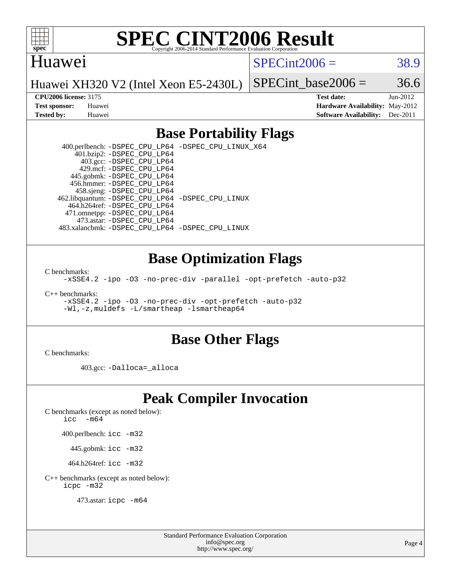

#### Huawei

 $SPECint2006 = 38.9$  $SPECint2006 = 38.9$ 

Huawei XH320 V2 (Intel Xeon E5-2430L)

SPECint base2006 =  $36.6$ 

**[CPU2006 license:](http://www.spec.org/auto/cpu2006/Docs/result-fields.html#CPU2006license)** 3175 **[Test date:](http://www.spec.org/auto/cpu2006/Docs/result-fields.html#Testdate)** Jun-2012 **[Test sponsor:](http://www.spec.org/auto/cpu2006/Docs/result-fields.html#Testsponsor)** Huawei **[Hardware Availability:](http://www.spec.org/auto/cpu2006/Docs/result-fields.html#HardwareAvailability)** May-2012 **[Tested by:](http://www.spec.org/auto/cpu2006/Docs/result-fields.html#Testedby)** Huawei **[Software Availability:](http://www.spec.org/auto/cpu2006/Docs/result-fields.html#SoftwareAvailability)** Dec-2011

### **[Base Portability Flags](http://www.spec.org/auto/cpu2006/Docs/result-fields.html#BasePortabilityFlags)**

 400.perlbench: [-DSPEC\\_CPU\\_LP64](http://www.spec.org/cpu2006/results/res2012q3/cpu2006-20120629-23268.flags.html#b400.perlbench_basePORTABILITY_DSPEC_CPU_LP64) [-DSPEC\\_CPU\\_LINUX\\_X64](http://www.spec.org/cpu2006/results/res2012q3/cpu2006-20120629-23268.flags.html#b400.perlbench_baseCPORTABILITY_DSPEC_CPU_LINUX_X64) 401.bzip2: [-DSPEC\\_CPU\\_LP64](http://www.spec.org/cpu2006/results/res2012q3/cpu2006-20120629-23268.flags.html#suite_basePORTABILITY401_bzip2_DSPEC_CPU_LP64) 403.gcc: [-DSPEC\\_CPU\\_LP64](http://www.spec.org/cpu2006/results/res2012q3/cpu2006-20120629-23268.flags.html#suite_basePORTABILITY403_gcc_DSPEC_CPU_LP64) 429.mcf: [-DSPEC\\_CPU\\_LP64](http://www.spec.org/cpu2006/results/res2012q3/cpu2006-20120629-23268.flags.html#suite_basePORTABILITY429_mcf_DSPEC_CPU_LP64) 445.gobmk: [-DSPEC\\_CPU\\_LP64](http://www.spec.org/cpu2006/results/res2012q3/cpu2006-20120629-23268.flags.html#suite_basePORTABILITY445_gobmk_DSPEC_CPU_LP64) 456.hmmer: [-DSPEC\\_CPU\\_LP64](http://www.spec.org/cpu2006/results/res2012q3/cpu2006-20120629-23268.flags.html#suite_basePORTABILITY456_hmmer_DSPEC_CPU_LP64) 458.sjeng: [-DSPEC\\_CPU\\_LP64](http://www.spec.org/cpu2006/results/res2012q3/cpu2006-20120629-23268.flags.html#suite_basePORTABILITY458_sjeng_DSPEC_CPU_LP64) 462.libquantum: [-DSPEC\\_CPU\\_LP64](http://www.spec.org/cpu2006/results/res2012q3/cpu2006-20120629-23268.flags.html#suite_basePORTABILITY462_libquantum_DSPEC_CPU_LP64) [-DSPEC\\_CPU\\_LINUX](http://www.spec.org/cpu2006/results/res2012q3/cpu2006-20120629-23268.flags.html#b462.libquantum_baseCPORTABILITY_DSPEC_CPU_LINUX) 464.h264ref: [-DSPEC\\_CPU\\_LP64](http://www.spec.org/cpu2006/results/res2012q3/cpu2006-20120629-23268.flags.html#suite_basePORTABILITY464_h264ref_DSPEC_CPU_LP64) 471.omnetpp: [-DSPEC\\_CPU\\_LP64](http://www.spec.org/cpu2006/results/res2012q3/cpu2006-20120629-23268.flags.html#suite_basePORTABILITY471_omnetpp_DSPEC_CPU_LP64) 473.astar: [-DSPEC\\_CPU\\_LP64](http://www.spec.org/cpu2006/results/res2012q3/cpu2006-20120629-23268.flags.html#suite_basePORTABILITY473_astar_DSPEC_CPU_LP64) 483.xalancbmk: [-DSPEC\\_CPU\\_LP64](http://www.spec.org/cpu2006/results/res2012q3/cpu2006-20120629-23268.flags.html#suite_basePORTABILITY483_xalancbmk_DSPEC_CPU_LP64) [-DSPEC\\_CPU\\_LINUX](http://www.spec.org/cpu2006/results/res2012q3/cpu2006-20120629-23268.flags.html#b483.xalancbmk_baseCXXPORTABILITY_DSPEC_CPU_LINUX)

#### **[Base Optimization Flags](http://www.spec.org/auto/cpu2006/Docs/result-fields.html#BaseOptimizationFlags)**

[C benchmarks](http://www.spec.org/auto/cpu2006/Docs/result-fields.html#Cbenchmarks):

[-xSSE4.2](http://www.spec.org/cpu2006/results/res2012q3/cpu2006-20120629-23268.flags.html#user_CCbase_f-xSSE42_f91528193cf0b216347adb8b939d4107) [-ipo](http://www.spec.org/cpu2006/results/res2012q3/cpu2006-20120629-23268.flags.html#user_CCbase_f-ipo) [-O3](http://www.spec.org/cpu2006/results/res2012q3/cpu2006-20120629-23268.flags.html#user_CCbase_f-O3) [-no-prec-div](http://www.spec.org/cpu2006/results/res2012q3/cpu2006-20120629-23268.flags.html#user_CCbase_f-no-prec-div) [-parallel](http://www.spec.org/cpu2006/results/res2012q3/cpu2006-20120629-23268.flags.html#user_CCbase_f-parallel) [-opt-prefetch](http://www.spec.org/cpu2006/results/res2012q3/cpu2006-20120629-23268.flags.html#user_CCbase_f-opt-prefetch) [-auto-p32](http://www.spec.org/cpu2006/results/res2012q3/cpu2006-20120629-23268.flags.html#user_CCbase_f-auto-p32)

[C++ benchmarks:](http://www.spec.org/auto/cpu2006/Docs/result-fields.html#CXXbenchmarks)

[-xSSE4.2](http://www.spec.org/cpu2006/results/res2012q3/cpu2006-20120629-23268.flags.html#user_CXXbase_f-xSSE42_f91528193cf0b216347adb8b939d4107) [-ipo](http://www.spec.org/cpu2006/results/res2012q3/cpu2006-20120629-23268.flags.html#user_CXXbase_f-ipo) [-O3](http://www.spec.org/cpu2006/results/res2012q3/cpu2006-20120629-23268.flags.html#user_CXXbase_f-O3) [-no-prec-div](http://www.spec.org/cpu2006/results/res2012q3/cpu2006-20120629-23268.flags.html#user_CXXbase_f-no-prec-div) [-opt-prefetch](http://www.spec.org/cpu2006/results/res2012q3/cpu2006-20120629-23268.flags.html#user_CXXbase_f-opt-prefetch) [-auto-p32](http://www.spec.org/cpu2006/results/res2012q3/cpu2006-20120629-23268.flags.html#user_CXXbase_f-auto-p32) [-Wl,-z,muldefs](http://www.spec.org/cpu2006/results/res2012q3/cpu2006-20120629-23268.flags.html#user_CXXbase_link_force_multiple1_74079c344b956b9658436fd1b6dd3a8a) [-L/smartheap -lsmartheap64](http://www.spec.org/cpu2006/results/res2012q3/cpu2006-20120629-23268.flags.html#user_CXXbase_SmartHeap64_5e654037dadeae1fe403ab4b4466e60b)

#### **[Base Other Flags](http://www.spec.org/auto/cpu2006/Docs/result-fields.html#BaseOtherFlags)**

[C benchmarks](http://www.spec.org/auto/cpu2006/Docs/result-fields.html#Cbenchmarks):

403.gcc: [-Dalloca=\\_alloca](http://www.spec.org/cpu2006/results/res2012q3/cpu2006-20120629-23268.flags.html#b403.gcc_baseEXTRA_CFLAGS_Dalloca_be3056838c12de2578596ca5467af7f3)

## **[Peak Compiler Invocation](http://www.spec.org/auto/cpu2006/Docs/result-fields.html#PeakCompilerInvocation)**

[C benchmarks \(except as noted below\)](http://www.spec.org/auto/cpu2006/Docs/result-fields.html#Cbenchmarksexceptasnotedbelow):

[icc -m64](http://www.spec.org/cpu2006/results/res2012q3/cpu2006-20120629-23268.flags.html#user_CCpeak_intel_icc_64bit_f346026e86af2a669e726fe758c88044)

400.perlbench: [icc -m32](http://www.spec.org/cpu2006/results/res2012q3/cpu2006-20120629-23268.flags.html#user_peakCCLD400_perlbench_intel_icc_a6a621f8d50482236b970c6ac5f55f93)

445.gobmk: [icc -m32](http://www.spec.org/cpu2006/results/res2012q3/cpu2006-20120629-23268.flags.html#user_peakCCLD445_gobmk_intel_icc_a6a621f8d50482236b970c6ac5f55f93)

464.h264ref: [icc -m32](http://www.spec.org/cpu2006/results/res2012q3/cpu2006-20120629-23268.flags.html#user_peakCCLD464_h264ref_intel_icc_a6a621f8d50482236b970c6ac5f55f93)

[C++ benchmarks \(except as noted below\):](http://www.spec.org/auto/cpu2006/Docs/result-fields.html#CXXbenchmarksexceptasnotedbelow) [icpc -m32](http://www.spec.org/cpu2006/results/res2012q3/cpu2006-20120629-23268.flags.html#user_CXXpeak_intel_icpc_4e5a5ef1a53fd332b3c49e69c3330699)

473.astar: [icpc -m64](http://www.spec.org/cpu2006/results/res2012q3/cpu2006-20120629-23268.flags.html#user_peakCXXLD473_astar_intel_icpc_64bit_fc66a5337ce925472a5c54ad6a0de310)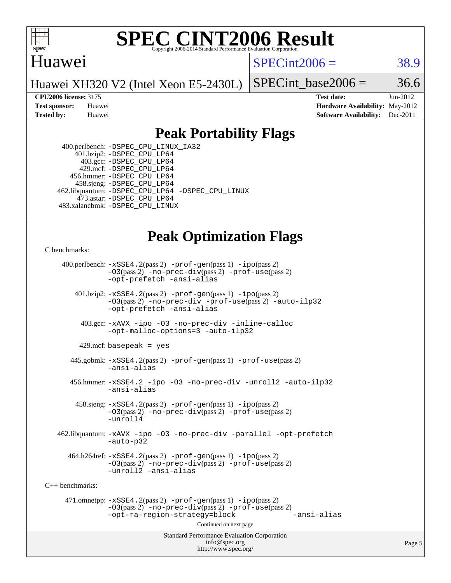

#### **[SPEC CINT2006 Result](http://www.spec.org/auto/cpu2006/Docs/result-fields.html#SPECCINT2006Result)** Copyright 2006-2014 Standard Performance Evaluation C

### Huawei

 $SPECint2006 = 38.9$  $SPECint2006 = 38.9$ 

Huawei XH320 V2 (Intel Xeon E5-2430L)

SPECint base2006 =  $36.6$ 

**[CPU2006 license:](http://www.spec.org/auto/cpu2006/Docs/result-fields.html#CPU2006license)** 3175 **[Test date:](http://www.spec.org/auto/cpu2006/Docs/result-fields.html#Testdate)** Jun-2012 **[Test sponsor:](http://www.spec.org/auto/cpu2006/Docs/result-fields.html#Testsponsor)** Huawei **[Hardware Availability:](http://www.spec.org/auto/cpu2006/Docs/result-fields.html#HardwareAvailability)** May-2012 **[Tested by:](http://www.spec.org/auto/cpu2006/Docs/result-fields.html#Testedby)** Huawei **[Software Availability:](http://www.spec.org/auto/cpu2006/Docs/result-fields.html#SoftwareAvailability)** Dec-2011

### **[Peak Portability Flags](http://www.spec.org/auto/cpu2006/Docs/result-fields.html#PeakPortabilityFlags)**

 400.perlbench: [-DSPEC\\_CPU\\_LINUX\\_IA32](http://www.spec.org/cpu2006/results/res2012q3/cpu2006-20120629-23268.flags.html#b400.perlbench_peakCPORTABILITY_DSPEC_CPU_LINUX_IA32) 401.bzip2: [-DSPEC\\_CPU\\_LP64](http://www.spec.org/cpu2006/results/res2012q3/cpu2006-20120629-23268.flags.html#suite_peakPORTABILITY401_bzip2_DSPEC_CPU_LP64) 403.gcc: [-DSPEC\\_CPU\\_LP64](http://www.spec.org/cpu2006/results/res2012q3/cpu2006-20120629-23268.flags.html#suite_peakPORTABILITY403_gcc_DSPEC_CPU_LP64) 429.mcf: [-DSPEC\\_CPU\\_LP64](http://www.spec.org/cpu2006/results/res2012q3/cpu2006-20120629-23268.flags.html#suite_peakPORTABILITY429_mcf_DSPEC_CPU_LP64) 456.hmmer: [-DSPEC\\_CPU\\_LP64](http://www.spec.org/cpu2006/results/res2012q3/cpu2006-20120629-23268.flags.html#suite_peakPORTABILITY456_hmmer_DSPEC_CPU_LP64) 458.sjeng: [-DSPEC\\_CPU\\_LP64](http://www.spec.org/cpu2006/results/res2012q3/cpu2006-20120629-23268.flags.html#suite_peakPORTABILITY458_sjeng_DSPEC_CPU_LP64) 462.libquantum: [-DSPEC\\_CPU\\_LP64](http://www.spec.org/cpu2006/results/res2012q3/cpu2006-20120629-23268.flags.html#suite_peakPORTABILITY462_libquantum_DSPEC_CPU_LP64) [-DSPEC\\_CPU\\_LINUX](http://www.spec.org/cpu2006/results/res2012q3/cpu2006-20120629-23268.flags.html#b462.libquantum_peakCPORTABILITY_DSPEC_CPU_LINUX) 473.astar: [-DSPEC\\_CPU\\_LP64](http://www.spec.org/cpu2006/results/res2012q3/cpu2006-20120629-23268.flags.html#suite_peakPORTABILITY473_astar_DSPEC_CPU_LP64) 483.xalancbmk: [-DSPEC\\_CPU\\_LINUX](http://www.spec.org/cpu2006/results/res2012q3/cpu2006-20120629-23268.flags.html#b483.xalancbmk_peakCXXPORTABILITY_DSPEC_CPU_LINUX)

# **[Peak Optimization Flags](http://www.spec.org/auto/cpu2006/Docs/result-fields.html#PeakOptimizationFlags)**

[C benchmarks](http://www.spec.org/auto/cpu2006/Docs/result-fields.html#Cbenchmarks):

Standard Performance Evaluation Corporation [info@spec.org](mailto:info@spec.org) 400.perlbench: [-xSSE4.2](http://www.spec.org/cpu2006/results/res2012q3/cpu2006-20120629-23268.flags.html#user_peakPASS2_CFLAGSPASS2_LDCFLAGS400_perlbench_f-xSSE42_f91528193cf0b216347adb8b939d4107)(pass 2) [-prof-gen](http://www.spec.org/cpu2006/results/res2012q3/cpu2006-20120629-23268.flags.html#user_peakPASS1_CFLAGSPASS1_LDCFLAGS400_perlbench_prof_gen_e43856698f6ca7b7e442dfd80e94a8fc)(pass 1) [-ipo](http://www.spec.org/cpu2006/results/res2012q3/cpu2006-20120629-23268.flags.html#user_peakPASS2_CFLAGSPASS2_LDCFLAGS400_perlbench_f-ipo)(pass 2) [-O3](http://www.spec.org/cpu2006/results/res2012q3/cpu2006-20120629-23268.flags.html#user_peakPASS2_CFLAGSPASS2_LDCFLAGS400_perlbench_f-O3)(pass 2) [-no-prec-div](http://www.spec.org/cpu2006/results/res2012q3/cpu2006-20120629-23268.flags.html#user_peakPASS2_CFLAGSPASS2_LDCFLAGS400_perlbench_f-no-prec-div)(pass 2) [-prof-use](http://www.spec.org/cpu2006/results/res2012q3/cpu2006-20120629-23268.flags.html#user_peakPASS2_CFLAGSPASS2_LDCFLAGS400_perlbench_prof_use_bccf7792157ff70d64e32fe3e1250b55)(pass 2) [-opt-prefetch](http://www.spec.org/cpu2006/results/res2012q3/cpu2006-20120629-23268.flags.html#user_peakCOPTIMIZE400_perlbench_f-opt-prefetch) [-ansi-alias](http://www.spec.org/cpu2006/results/res2012q3/cpu2006-20120629-23268.flags.html#user_peakCOPTIMIZE400_perlbench_f-ansi-alias) 401.bzip2: [-xSSE4.2](http://www.spec.org/cpu2006/results/res2012q3/cpu2006-20120629-23268.flags.html#user_peakPASS2_CFLAGSPASS2_LDCFLAGS401_bzip2_f-xSSE42_f91528193cf0b216347adb8b939d4107)(pass 2) [-prof-gen](http://www.spec.org/cpu2006/results/res2012q3/cpu2006-20120629-23268.flags.html#user_peakPASS1_CFLAGSPASS1_LDCFLAGS401_bzip2_prof_gen_e43856698f6ca7b7e442dfd80e94a8fc)(pass 1) [-ipo](http://www.spec.org/cpu2006/results/res2012q3/cpu2006-20120629-23268.flags.html#user_peakPASS2_CFLAGSPASS2_LDCFLAGS401_bzip2_f-ipo)(pass 2) [-O3](http://www.spec.org/cpu2006/results/res2012q3/cpu2006-20120629-23268.flags.html#user_peakPASS2_CFLAGSPASS2_LDCFLAGS401_bzip2_f-O3)(pass 2) [-no-prec-div](http://www.spec.org/cpu2006/results/res2012q3/cpu2006-20120629-23268.flags.html#user_peakCOPTIMIZEPASS2_CFLAGSPASS2_LDCFLAGS401_bzip2_f-no-prec-div) [-prof-use](http://www.spec.org/cpu2006/results/res2012q3/cpu2006-20120629-23268.flags.html#user_peakPASS2_CFLAGSPASS2_LDCFLAGS401_bzip2_prof_use_bccf7792157ff70d64e32fe3e1250b55)(pass 2) [-auto-ilp32](http://www.spec.org/cpu2006/results/res2012q3/cpu2006-20120629-23268.flags.html#user_peakCOPTIMIZE401_bzip2_f-auto-ilp32) [-opt-prefetch](http://www.spec.org/cpu2006/results/res2012q3/cpu2006-20120629-23268.flags.html#user_peakCOPTIMIZE401_bzip2_f-opt-prefetch) [-ansi-alias](http://www.spec.org/cpu2006/results/res2012q3/cpu2006-20120629-23268.flags.html#user_peakCOPTIMIZE401_bzip2_f-ansi-alias) 403.gcc: [-xAVX](http://www.spec.org/cpu2006/results/res2012q3/cpu2006-20120629-23268.flags.html#user_peakCOPTIMIZE403_gcc_f-xAVX) [-ipo](http://www.spec.org/cpu2006/results/res2012q3/cpu2006-20120629-23268.flags.html#user_peakCOPTIMIZE403_gcc_f-ipo) [-O3](http://www.spec.org/cpu2006/results/res2012q3/cpu2006-20120629-23268.flags.html#user_peakCOPTIMIZE403_gcc_f-O3) [-no-prec-div](http://www.spec.org/cpu2006/results/res2012q3/cpu2006-20120629-23268.flags.html#user_peakCOPTIMIZE403_gcc_f-no-prec-div) [-inline-calloc](http://www.spec.org/cpu2006/results/res2012q3/cpu2006-20120629-23268.flags.html#user_peakCOPTIMIZE403_gcc_f-inline-calloc) [-opt-malloc-options=3](http://www.spec.org/cpu2006/results/res2012q3/cpu2006-20120629-23268.flags.html#user_peakCOPTIMIZE403_gcc_f-opt-malloc-options_13ab9b803cf986b4ee62f0a5998c2238) [-auto-ilp32](http://www.spec.org/cpu2006/results/res2012q3/cpu2006-20120629-23268.flags.html#user_peakCOPTIMIZE403_gcc_f-auto-ilp32)  $429$ .mcf: basepeak = yes 445.gobmk: [-xSSE4.2](http://www.spec.org/cpu2006/results/res2012q3/cpu2006-20120629-23268.flags.html#user_peakPASS2_CFLAGSPASS2_LDCFLAGS445_gobmk_f-xSSE42_f91528193cf0b216347adb8b939d4107)(pass 2) [-prof-gen](http://www.spec.org/cpu2006/results/res2012q3/cpu2006-20120629-23268.flags.html#user_peakPASS1_CFLAGSPASS1_LDCFLAGS445_gobmk_prof_gen_e43856698f6ca7b7e442dfd80e94a8fc)(pass 1) [-prof-use](http://www.spec.org/cpu2006/results/res2012q3/cpu2006-20120629-23268.flags.html#user_peakPASS2_CFLAGSPASS2_LDCFLAGS445_gobmk_prof_use_bccf7792157ff70d64e32fe3e1250b55)(pass 2) [-ansi-alias](http://www.spec.org/cpu2006/results/res2012q3/cpu2006-20120629-23268.flags.html#user_peakCOPTIMIZE445_gobmk_f-ansi-alias) 456.hmmer: [-xSSE4.2](http://www.spec.org/cpu2006/results/res2012q3/cpu2006-20120629-23268.flags.html#user_peakCOPTIMIZE456_hmmer_f-xSSE42_f91528193cf0b216347adb8b939d4107) [-ipo](http://www.spec.org/cpu2006/results/res2012q3/cpu2006-20120629-23268.flags.html#user_peakCOPTIMIZE456_hmmer_f-ipo) [-O3](http://www.spec.org/cpu2006/results/res2012q3/cpu2006-20120629-23268.flags.html#user_peakCOPTIMIZE456_hmmer_f-O3) [-no-prec-div](http://www.spec.org/cpu2006/results/res2012q3/cpu2006-20120629-23268.flags.html#user_peakCOPTIMIZE456_hmmer_f-no-prec-div) [-unroll2](http://www.spec.org/cpu2006/results/res2012q3/cpu2006-20120629-23268.flags.html#user_peakCOPTIMIZE456_hmmer_f-unroll_784dae83bebfb236979b41d2422d7ec2) [-auto-ilp32](http://www.spec.org/cpu2006/results/res2012q3/cpu2006-20120629-23268.flags.html#user_peakCOPTIMIZE456_hmmer_f-auto-ilp32) [-ansi-alias](http://www.spec.org/cpu2006/results/res2012q3/cpu2006-20120629-23268.flags.html#user_peakCOPTIMIZE456_hmmer_f-ansi-alias) 458.sjeng: [-xSSE4.2](http://www.spec.org/cpu2006/results/res2012q3/cpu2006-20120629-23268.flags.html#user_peakPASS2_CFLAGSPASS2_LDCFLAGS458_sjeng_f-xSSE42_f91528193cf0b216347adb8b939d4107)(pass 2) [-prof-gen](http://www.spec.org/cpu2006/results/res2012q3/cpu2006-20120629-23268.flags.html#user_peakPASS1_CFLAGSPASS1_LDCFLAGS458_sjeng_prof_gen_e43856698f6ca7b7e442dfd80e94a8fc)(pass 1) [-ipo](http://www.spec.org/cpu2006/results/res2012q3/cpu2006-20120629-23268.flags.html#user_peakPASS2_CFLAGSPASS2_LDCFLAGS458_sjeng_f-ipo)(pass 2) [-O3](http://www.spec.org/cpu2006/results/res2012q3/cpu2006-20120629-23268.flags.html#user_peakPASS2_CFLAGSPASS2_LDCFLAGS458_sjeng_f-O3)(pass 2) [-no-prec-div](http://www.spec.org/cpu2006/results/res2012q3/cpu2006-20120629-23268.flags.html#user_peakPASS2_CFLAGSPASS2_LDCFLAGS458_sjeng_f-no-prec-div)(pass 2) [-prof-use](http://www.spec.org/cpu2006/results/res2012q3/cpu2006-20120629-23268.flags.html#user_peakPASS2_CFLAGSPASS2_LDCFLAGS458_sjeng_prof_use_bccf7792157ff70d64e32fe3e1250b55)(pass 2) [-unroll4](http://www.spec.org/cpu2006/results/res2012q3/cpu2006-20120629-23268.flags.html#user_peakCOPTIMIZE458_sjeng_f-unroll_4e5e4ed65b7fd20bdcd365bec371b81f) 462.libquantum: [-xAVX](http://www.spec.org/cpu2006/results/res2012q3/cpu2006-20120629-23268.flags.html#user_peakCOPTIMIZE462_libquantum_f-xAVX) [-ipo](http://www.spec.org/cpu2006/results/res2012q3/cpu2006-20120629-23268.flags.html#user_peakCOPTIMIZE462_libquantum_f-ipo) [-O3](http://www.spec.org/cpu2006/results/res2012q3/cpu2006-20120629-23268.flags.html#user_peakCOPTIMIZE462_libquantum_f-O3) [-no-prec-div](http://www.spec.org/cpu2006/results/res2012q3/cpu2006-20120629-23268.flags.html#user_peakCOPTIMIZE462_libquantum_f-no-prec-div) [-parallel](http://www.spec.org/cpu2006/results/res2012q3/cpu2006-20120629-23268.flags.html#user_peakCOPTIMIZE462_libquantum_f-parallel) [-opt-prefetch](http://www.spec.org/cpu2006/results/res2012q3/cpu2006-20120629-23268.flags.html#user_peakCOPTIMIZE462_libquantum_f-opt-prefetch) [-auto-p32](http://www.spec.org/cpu2006/results/res2012q3/cpu2006-20120629-23268.flags.html#user_peakCOPTIMIZE462_libquantum_f-auto-p32)  $464.h264$ ref:  $-xSSE4$ .  $2(pass 2)$  [-prof-gen](http://www.spec.org/cpu2006/results/res2012q3/cpu2006-20120629-23268.flags.html#user_peakPASS1_CFLAGSPASS1_LDCFLAGS464_h264ref_prof_gen_e43856698f6ca7b7e442dfd80e94a8fc)(pass 1) [-ipo](http://www.spec.org/cpu2006/results/res2012q3/cpu2006-20120629-23268.flags.html#user_peakPASS2_CFLAGSPASS2_LDCFLAGS464_h264ref_f-ipo)(pass 2) [-O3](http://www.spec.org/cpu2006/results/res2012q3/cpu2006-20120629-23268.flags.html#user_peakPASS2_CFLAGSPASS2_LDCFLAGS464_h264ref_f-O3)(pass 2) [-no-prec-div](http://www.spec.org/cpu2006/results/res2012q3/cpu2006-20120629-23268.flags.html#user_peakPASS2_CFLAGSPASS2_LDCFLAGS464_h264ref_f-no-prec-div)(pass 2) [-prof-use](http://www.spec.org/cpu2006/results/res2012q3/cpu2006-20120629-23268.flags.html#user_peakPASS2_CFLAGSPASS2_LDCFLAGS464_h264ref_prof_use_bccf7792157ff70d64e32fe3e1250b55)(pass 2) [-unroll2](http://www.spec.org/cpu2006/results/res2012q3/cpu2006-20120629-23268.flags.html#user_peakCOPTIMIZE464_h264ref_f-unroll_784dae83bebfb236979b41d2422d7ec2) [-ansi-alias](http://www.spec.org/cpu2006/results/res2012q3/cpu2006-20120629-23268.flags.html#user_peakCOPTIMIZE464_h264ref_f-ansi-alias) [C++ benchmarks:](http://www.spec.org/auto/cpu2006/Docs/result-fields.html#CXXbenchmarks) 471.omnetpp: [-xSSE4.2](http://www.spec.org/cpu2006/results/res2012q3/cpu2006-20120629-23268.flags.html#user_peakPASS2_CXXFLAGSPASS2_LDCXXFLAGS471_omnetpp_f-xSSE42_f91528193cf0b216347adb8b939d4107)(pass 2) [-prof-gen](http://www.spec.org/cpu2006/results/res2012q3/cpu2006-20120629-23268.flags.html#user_peakPASS1_CXXFLAGSPASS1_LDCXXFLAGS471_omnetpp_prof_gen_e43856698f6ca7b7e442dfd80e94a8fc)(pass 1) [-ipo](http://www.spec.org/cpu2006/results/res2012q3/cpu2006-20120629-23268.flags.html#user_peakPASS2_CXXFLAGSPASS2_LDCXXFLAGS471_omnetpp_f-ipo)(pass 2) [-O3](http://www.spec.org/cpu2006/results/res2012q3/cpu2006-20120629-23268.flags.html#user_peakPASS2_CXXFLAGSPASS2_LDCXXFLAGS471_omnetpp_f-O3)(pass 2) [-no-prec-div](http://www.spec.org/cpu2006/results/res2012q3/cpu2006-20120629-23268.flags.html#user_peakPASS2_CXXFLAGSPASS2_LDCXXFLAGS471_omnetpp_f-no-prec-div)(pass 2) [-prof-use](http://www.spec.org/cpu2006/results/res2012q3/cpu2006-20120629-23268.flags.html#user_peakPASS2_CXXFLAGSPASS2_LDCXXFLAGS471_omnetpp_prof_use_bccf7792157ff70d64e32fe3e1250b55)(pass 2) [-opt-ra-region-strategy=block](http://www.spec.org/cpu2006/results/res2012q3/cpu2006-20120629-23268.flags.html#user_peakCXXOPTIMIZE471_omnetpp_f-opt-ra-region-strategy_5382940c29ea30302d682fc74bfe0147) [-ansi-alias](http://www.spec.org/cpu2006/results/res2012q3/cpu2006-20120629-23268.flags.html#user_peakCXXOPTIMIZE471_omnetpp_f-ansi-alias) Continued on next page

<http://www.spec.org/>